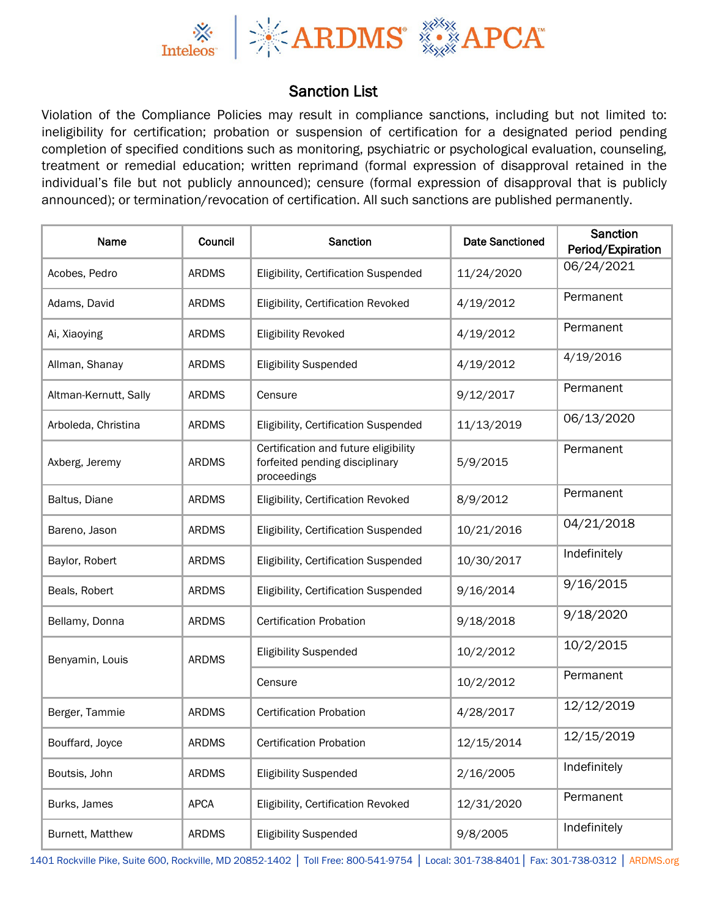

## Sanction List

Violation of the Compliance Policies may result in compliance sanctions, including but not limited to: ineligibility for certification; probation or suspension of certification for a designated period pending completion of specified conditions such as monitoring, psychiatric or psychological evaluation, counseling, treatment or remedial education; written reprimand (formal expression of disapproval retained in the individual's file but not publicly announced); censure (formal expression of disapproval that is publicly announced); or termination/revocation of certification. All such sanctions are published permanently.

| Name                  | Council      | Sanction                                                                              | <b>Date Sanctioned</b> | <b>Sanction</b><br>Period/Expiration |
|-----------------------|--------------|---------------------------------------------------------------------------------------|------------------------|--------------------------------------|
| Acobes, Pedro         | <b>ARDMS</b> | Eligibility, Certification Suspended                                                  | 11/24/2020             | 06/24/2021                           |
| Adams, David          | <b>ARDMS</b> | Eligibility, Certification Revoked                                                    | 4/19/2012              | Permanent                            |
| Ai, Xiaoying          | <b>ARDMS</b> | <b>Eligibility Revoked</b>                                                            | 4/19/2012              | Permanent                            |
| Allman, Shanay        | <b>ARDMS</b> | <b>Eligibility Suspended</b>                                                          | 4/19/2012              | 4/19/2016                            |
| Altman-Kernutt, Sally | <b>ARDMS</b> | Censure                                                                               | 9/12/2017              | Permanent                            |
| Arboleda, Christina   | <b>ARDMS</b> | Eligibility, Certification Suspended                                                  | 11/13/2019             | 06/13/2020                           |
| Axberg, Jeremy        | <b>ARDMS</b> | Certification and future eligibility<br>forfeited pending disciplinary<br>proceedings | 5/9/2015               | Permanent                            |
| Baltus, Diane         | <b>ARDMS</b> | Eligibility, Certification Revoked                                                    | 8/9/2012               | Permanent                            |
| Bareno, Jason         | <b>ARDMS</b> | Eligibility, Certification Suspended                                                  | 10/21/2016             | 04/21/2018                           |
| Baylor, Robert        | <b>ARDMS</b> | Eligibility, Certification Suspended                                                  | 10/30/2017             | Indefinitely                         |
| Beals, Robert         | <b>ARDMS</b> | Eligibility, Certification Suspended                                                  | 9/16/2014              | 9/16/2015                            |
| Bellamy, Donna        | <b>ARDMS</b> | <b>Certification Probation</b>                                                        | 9/18/2018              | 9/18/2020                            |
| Benyamin, Louis       | <b>ARDMS</b> | <b>Eligibility Suspended</b>                                                          | 10/2/2012              | 10/2/2015                            |
|                       |              | Censure                                                                               | 10/2/2012              | Permanent                            |
| Berger, Tammie        | <b>ARDMS</b> | <b>Certification Probation</b>                                                        | 4/28/2017              | 12/12/2019                           |
| Bouffard, Joyce       | <b>ARDMS</b> | <b>Certification Probation</b>                                                        | 12/15/2014             | 12/15/2019                           |
| Boutsis, John         | <b>ARDMS</b> | <b>Eligibility Suspended</b>                                                          | 2/16/2005              | Indefinitely                         |
| Burks, James          | <b>APCA</b>  | Eligibility, Certification Revoked                                                    | 12/31/2020             | Permanent                            |
| Burnett, Matthew      | <b>ARDMS</b> | <b>Eligibility Suspended</b>                                                          | 9/8/2005               | Indefinitely                         |

1401 Rockville Pike, Suite 600, Rockville, MD 20852-1402 │ Toll Free: 800-541-9754 │ Local: 301-738-8401│ Fax: 301-738-0312 │ ARDMS.org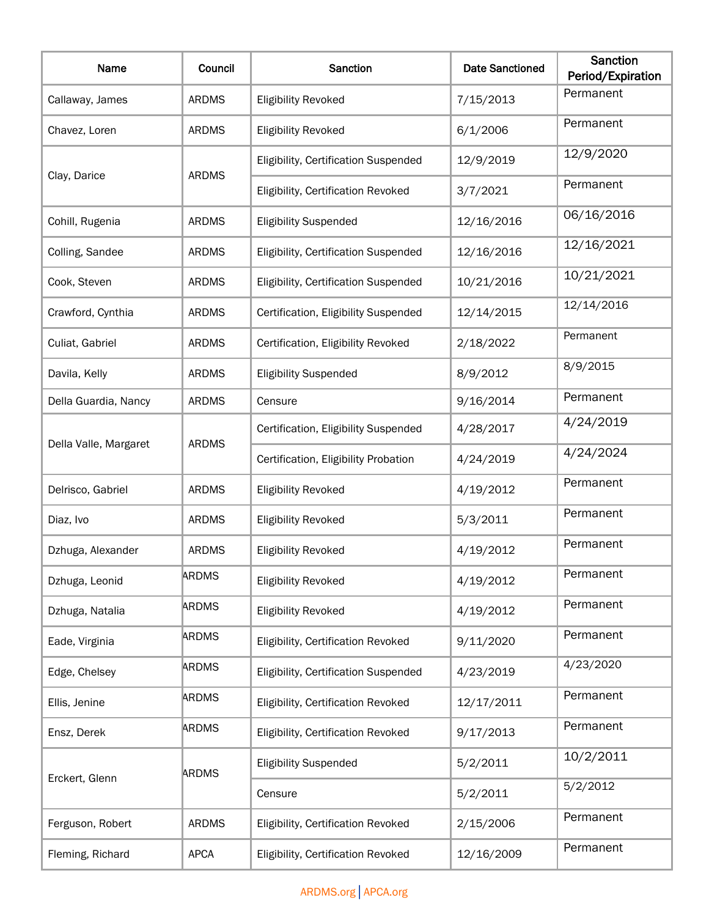| Name                  | Council      | <b>Sanction</b>                      | <b>Date Sanctioned</b> | <b>Sanction</b><br>Period/Expiration |
|-----------------------|--------------|--------------------------------------|------------------------|--------------------------------------|
| Callaway, James       | <b>ARDMS</b> | <b>Eligibility Revoked</b>           | 7/15/2013              | Permanent                            |
| Chavez, Loren         | <b>ARDMS</b> | <b>Eligibility Revoked</b>           | 6/1/2006               | Permanent                            |
|                       |              | Eligibility, Certification Suspended | 12/9/2019              | 12/9/2020                            |
| Clay, Darice          | <b>ARDMS</b> | Eligibility, Certification Revoked   | 3/7/2021               | Permanent                            |
| Cohill, Rugenia       | <b>ARDMS</b> | <b>Eligibility Suspended</b>         | 12/16/2016             | 06/16/2016                           |
| Colling, Sandee       | <b>ARDMS</b> | Eligibility, Certification Suspended | 12/16/2016             | 12/16/2021                           |
| Cook, Steven          | <b>ARDMS</b> | Eligibility, Certification Suspended | 10/21/2016             | 10/21/2021                           |
| Crawford, Cynthia     | <b>ARDMS</b> | Certification, Eligibility Suspended | 12/14/2015             | 12/14/2016                           |
| Culiat, Gabriel       | <b>ARDMS</b> | Certification, Eligibility Revoked   | 2/18/2022              | Permanent                            |
| Davila, Kelly         | <b>ARDMS</b> | <b>Eligibility Suspended</b>         | 8/9/2012               | 8/9/2015                             |
| Della Guardia, Nancy  | <b>ARDMS</b> | Censure                              | 9/16/2014              | Permanent                            |
|                       | <b>ARDMS</b> | Certification, Eligibility Suspended | 4/28/2017              | 4/24/2019                            |
| Della Valle, Margaret |              | Certification, Eligibility Probation | 4/24/2019              | 4/24/2024                            |
| Delrisco, Gabriel     | <b>ARDMS</b> | <b>Eligibility Revoked</b>           | 4/19/2012              | Permanent                            |
| Diaz, Ivo             | <b>ARDMS</b> | <b>Eligibility Revoked</b>           | 5/3/2011               | Permanent                            |
| Dzhuga, Alexander     | <b>ARDMS</b> | <b>Eligibility Revoked</b>           | 4/19/2012              | Permanent                            |
| Dzhuga, Leonid        | <b>ARDMS</b> | <b>Eligibility Revoked</b>           | 4/19/2012              | Permanent                            |
| Dzhuga, Natalia       | <b>ARDMS</b> | <b>Eligibility Revoked</b>           | 4/19/2012              | Permanent                            |
| Eade, Virginia        | <b>ARDMS</b> | Eligibility, Certification Revoked   | 9/11/2020              | Permanent                            |
| Edge, Chelsey         | <b>ARDMS</b> | Eligibility, Certification Suspended | 4/23/2019              | 4/23/2020                            |
| Ellis, Jenine         | <b>ARDMS</b> | Eligibility, Certification Revoked   | 12/17/2011             | Permanent                            |
| Ensz, Derek           | <b>ARDMS</b> | Eligibility, Certification Revoked   | 9/17/2013              | Permanent                            |
| Erckert, Glenn        | <b>ARDMS</b> | <b>Eligibility Suspended</b>         | 5/2/2011               | 10/2/2011                            |
|                       |              | Censure                              | 5/2/2011               | 5/2/2012                             |
| Ferguson, Robert      | <b>ARDMS</b> | Eligibility, Certification Revoked   | 2/15/2006              | Permanent                            |
| Fleming, Richard      | <b>APCA</b>  | Eligibility, Certification Revoked   | 12/16/2009             | Permanent                            |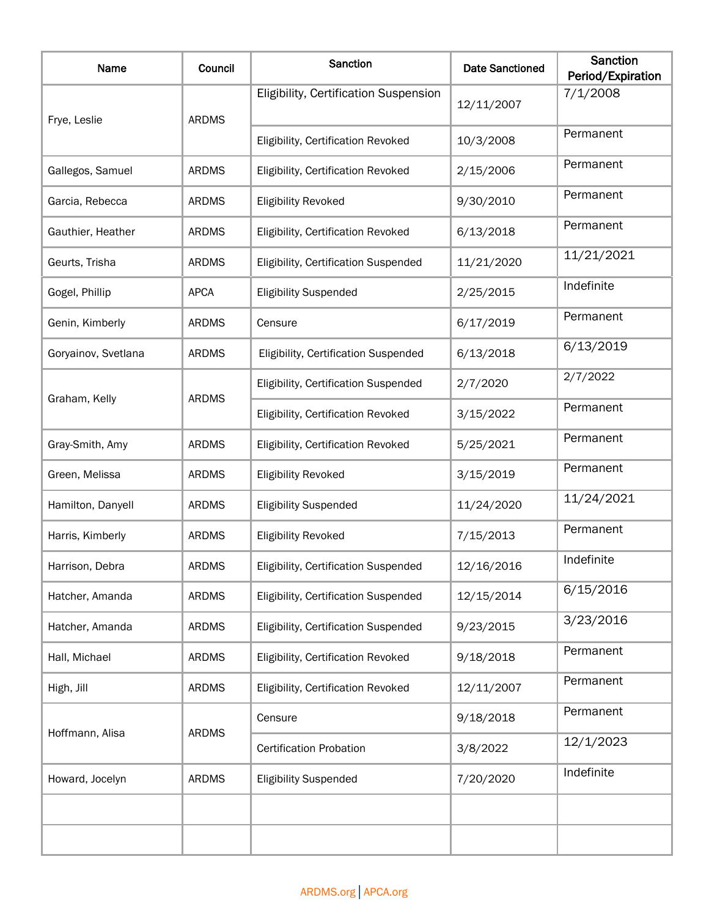| Name                | Council      | Sanction                              | <b>Date Sanctioned</b> | <b>Sanction</b><br>Period/Expiration |
|---------------------|--------------|---------------------------------------|------------------------|--------------------------------------|
| Frye, Leslie        | <b>ARDMS</b> | Eligibility, Certification Suspension | 12/11/2007             | 7/1/2008                             |
|                     |              | Eligibility, Certification Revoked    | 10/3/2008              | Permanent                            |
| Gallegos, Samuel    | <b>ARDMS</b> | Eligibility, Certification Revoked    | 2/15/2006              | Permanent                            |
| Garcia, Rebecca     | <b>ARDMS</b> | <b>Eligibility Revoked</b>            | 9/30/2010              | Permanent                            |
| Gauthier, Heather   | <b>ARDMS</b> | Eligibility, Certification Revoked    | 6/13/2018              | Permanent                            |
| Geurts, Trisha      | <b>ARDMS</b> | Eligibility, Certification Suspended  | 11/21/2020             | 11/21/2021                           |
| Gogel, Phillip      | <b>APCA</b>  | <b>Eligibility Suspended</b>          | 2/25/2015              | Indefinite                           |
| Genin, Kimberly     | <b>ARDMS</b> | Censure                               | 6/17/2019              | Permanent                            |
| Goryainov, Svetlana | <b>ARDMS</b> | Eligibility, Certification Suspended  | 6/13/2018              | 6/13/2019                            |
|                     | <b>ARDMS</b> | Eligibility, Certification Suspended  | 2/7/2020               | 2/7/2022                             |
| Graham, Kelly       |              | Eligibility, Certification Revoked    | 3/15/2022              | Permanent                            |
| Gray-Smith, Amy     | <b>ARDMS</b> | Eligibility, Certification Revoked    | 5/25/2021              | Permanent                            |
| Green, Melissa      | <b>ARDMS</b> | <b>Eligibility Revoked</b>            | 3/15/2019              | Permanent                            |
| Hamilton, Danyell   | <b>ARDMS</b> | <b>Eligibility Suspended</b>          | 11/24/2020             | 11/24/2021                           |
| Harris, Kimberly    | <b>ARDMS</b> | <b>Eligibility Revoked</b>            | 7/15/2013              | Permanent                            |
| Harrison, Debra     | <b>ARDMS</b> | Eligibility, Certification Suspended  | 12/16/2016             | Indefinite                           |
| Hatcher, Amanda     | <b>ARDMS</b> | Eligibility, Certification Suspended  | 12/15/2014             | 6/15/2016                            |
| Hatcher, Amanda     | <b>ARDMS</b> | Eligibility, Certification Suspended  | 9/23/2015              | 3/23/2016                            |
| Hall, Michael       | <b>ARDMS</b> | Eligibility, Certification Revoked    | 9/18/2018              | Permanent                            |
| High, Jill          | <b>ARDMS</b> | Eligibility, Certification Revoked    | 12/11/2007             | Permanent                            |
| Hoffmann, Alisa     | <b>ARDMS</b> | Censure                               | 9/18/2018              | Permanent                            |
|                     |              | <b>Certification Probation</b>        | 3/8/2022               | 12/1/2023                            |
| Howard, Jocelyn     | <b>ARDMS</b> | <b>Eligibility Suspended</b>          | 7/20/2020              | Indefinite                           |
|                     |              |                                       |                        |                                      |
|                     |              |                                       |                        |                                      |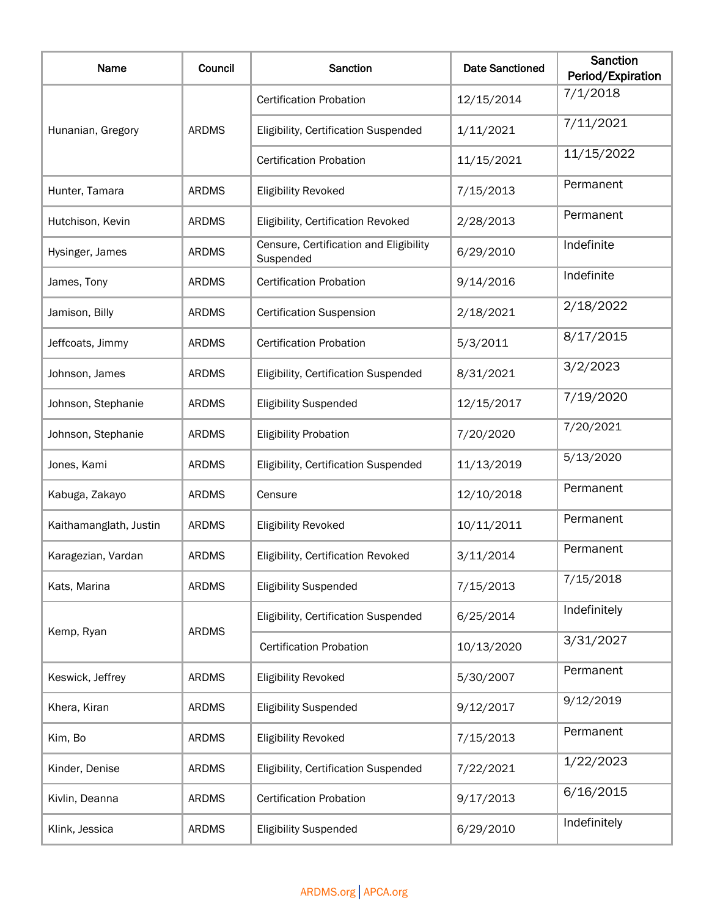| Name                   | Council      | Sanction                                            | <b>Date Sanctioned</b> | Sanction<br>Period/Expiration |
|------------------------|--------------|-----------------------------------------------------|------------------------|-------------------------------|
|                        | <b>ARDMS</b> | <b>Certification Probation</b>                      | 12/15/2014             | 7/1/2018                      |
| Hunanian, Gregory      |              | Eligibility, Certification Suspended                | 1/11/2021              | 7/11/2021                     |
|                        |              | <b>Certification Probation</b>                      | 11/15/2021             | 11/15/2022                    |
| Hunter, Tamara         | <b>ARDMS</b> | <b>Eligibility Revoked</b>                          | 7/15/2013              | Permanent                     |
| Hutchison, Kevin       | <b>ARDMS</b> | Eligibility, Certification Revoked                  | 2/28/2013              | Permanent                     |
| Hysinger, James        | <b>ARDMS</b> | Censure, Certification and Eligibility<br>Suspended | 6/29/2010              | Indefinite                    |
| James, Tony            | <b>ARDMS</b> | <b>Certification Probation</b>                      | 9/14/2016              | Indefinite                    |
| Jamison, Billy         | <b>ARDMS</b> | <b>Certification Suspension</b>                     | 2/18/2021              | 2/18/2022                     |
| Jeffcoats, Jimmy       | <b>ARDMS</b> | <b>Certification Probation</b>                      | 5/3/2011               | 8/17/2015                     |
| Johnson, James         | <b>ARDMS</b> | Eligibility, Certification Suspended                | 8/31/2021              | 3/2/2023                      |
| Johnson, Stephanie     | <b>ARDMS</b> | <b>Eligibility Suspended</b>                        | 12/15/2017             | 7/19/2020                     |
| Johnson, Stephanie     | <b>ARDMS</b> | <b>Eligibility Probation</b>                        | 7/20/2020              | 7/20/2021                     |
| Jones, Kami            | <b>ARDMS</b> | Eligibility, Certification Suspended                | 11/13/2019             | 5/13/2020                     |
| Kabuga, Zakayo         | <b>ARDMS</b> | Censure                                             | 12/10/2018             | Permanent                     |
| Kaithamanglath, Justin | <b>ARDMS</b> | <b>Eligibility Revoked</b>                          | 10/11/2011             | Permanent                     |
| Karagezian, Vardan     | <b>ARDMS</b> | Eligibility, Certification Revoked                  | 3/11/2014              | Permanent                     |
| Kats, Marina           | <b>ARDMS</b> | <b>Eligibility Suspended</b>                        | 7/15/2013              | 7/15/2018                     |
|                        | <b>ARDMS</b> | Eligibility, Certification Suspended                | 6/25/2014              | Indefinitely                  |
| Kemp, Ryan             |              | <b>Certification Probation</b>                      | 10/13/2020             | 3/31/2027                     |
| Keswick, Jeffrey       | <b>ARDMS</b> | <b>Eligibility Revoked</b>                          | 5/30/2007              | Permanent                     |
| Khera, Kiran           | <b>ARDMS</b> | <b>Eligibility Suspended</b>                        | 9/12/2017              | 9/12/2019                     |
| Kim, Bo                | <b>ARDMS</b> | <b>Eligibility Revoked</b>                          | 7/15/2013              | Permanent                     |
| Kinder, Denise         | <b>ARDMS</b> | Eligibility, Certification Suspended                | 7/22/2021              | 1/22/2023                     |
| Kivlin, Deanna         | <b>ARDMS</b> | <b>Certification Probation</b>                      | 9/17/2013              | 6/16/2015                     |
| Klink, Jessica         | <b>ARDMS</b> | <b>Eligibility Suspended</b>                        | 6/29/2010              | Indefinitely                  |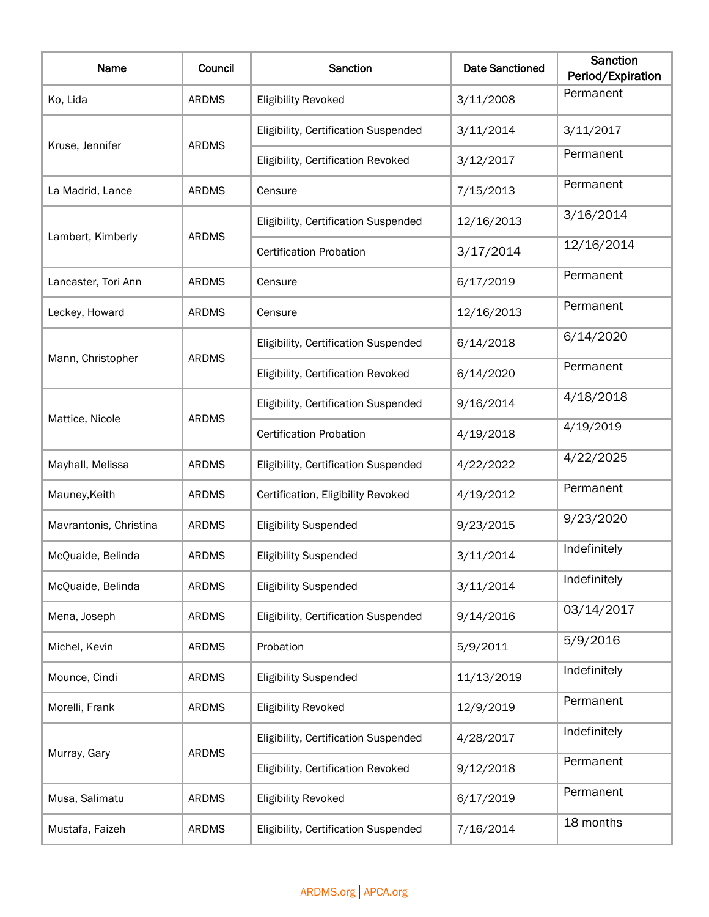| Name                   | Council      | <b>Sanction</b>                      | <b>Date Sanctioned</b> | <b>Sanction</b><br>Period/Expiration |
|------------------------|--------------|--------------------------------------|------------------------|--------------------------------------|
| Ko, Lida               | <b>ARDMS</b> | <b>Eligibility Revoked</b>           | 3/11/2008              | Permanent                            |
|                        |              | Eligibility, Certification Suspended | 3/11/2014              | 3/11/2017                            |
| Kruse, Jennifer        | <b>ARDMS</b> | Eligibility, Certification Revoked   | 3/12/2017              | Permanent                            |
| La Madrid, Lance       | <b>ARDMS</b> | Censure                              | 7/15/2013              | Permanent                            |
|                        |              | Eligibility, Certification Suspended | 12/16/2013             | 3/16/2014                            |
| Lambert, Kimberly      | <b>ARDMS</b> | <b>Certification Probation</b>       | 3/17/2014              | 12/16/2014                           |
| Lancaster, Tori Ann    | <b>ARDMS</b> | Censure                              | 6/17/2019              | Permanent                            |
| Leckey, Howard         | <b>ARDMS</b> | Censure                              | 12/16/2013             | Permanent                            |
|                        |              | Eligibility, Certification Suspended | 6/14/2018              | 6/14/2020                            |
| Mann, Christopher      | <b>ARDMS</b> | Eligibility, Certification Revoked   | 6/14/2020              | Permanent                            |
|                        | <b>ARDMS</b> | Eligibility, Certification Suspended | 9/16/2014              | 4/18/2018                            |
| Mattice, Nicole        |              | <b>Certification Probation</b>       | 4/19/2018              | 4/19/2019                            |
| Mayhall, Melissa       | <b>ARDMS</b> | Eligibility, Certification Suspended | 4/22/2022              | 4/22/2025                            |
| Mauney, Keith          | <b>ARDMS</b> | Certification, Eligibility Revoked   | 4/19/2012              | Permanent                            |
| Mavrantonis, Christina | <b>ARDMS</b> | <b>Eligibility Suspended</b>         | 9/23/2015              | 9/23/2020                            |
| McQuaide, Belinda      | <b>ARDMS</b> | <b>Eligibility Suspended</b>         | 3/11/2014              | Indefinitely                         |
| McQuaide, Belinda      | <b>ARDMS</b> | <b>Eligibility Suspended</b>         | 3/11/2014              | Indefinitely                         |
| Mena, Joseph           | <b>ARDMS</b> | Eligibility, Certification Suspended | 9/14/2016              | 03/14/2017                           |
| Michel, Kevin          | <b>ARDMS</b> | Probation                            | 5/9/2011               | 5/9/2016                             |
| Mounce, Cindi          | <b>ARDMS</b> | <b>Eligibility Suspended</b>         | 11/13/2019             | Indefinitely                         |
| Morelli, Frank         | <b>ARDMS</b> | <b>Eligibility Revoked</b>           | 12/9/2019              | Permanent                            |
| Murray, Gary           | <b>ARDMS</b> | Eligibility, Certification Suspended | 4/28/2017              | Indefinitely                         |
|                        |              | Eligibility, Certification Revoked   | 9/12/2018              | Permanent                            |
| Musa, Salimatu         | <b>ARDMS</b> | <b>Eligibility Revoked</b>           | 6/17/2019              | Permanent                            |
| Mustafa, Faizeh        | <b>ARDMS</b> | Eligibility, Certification Suspended | 7/16/2014              | 18 months                            |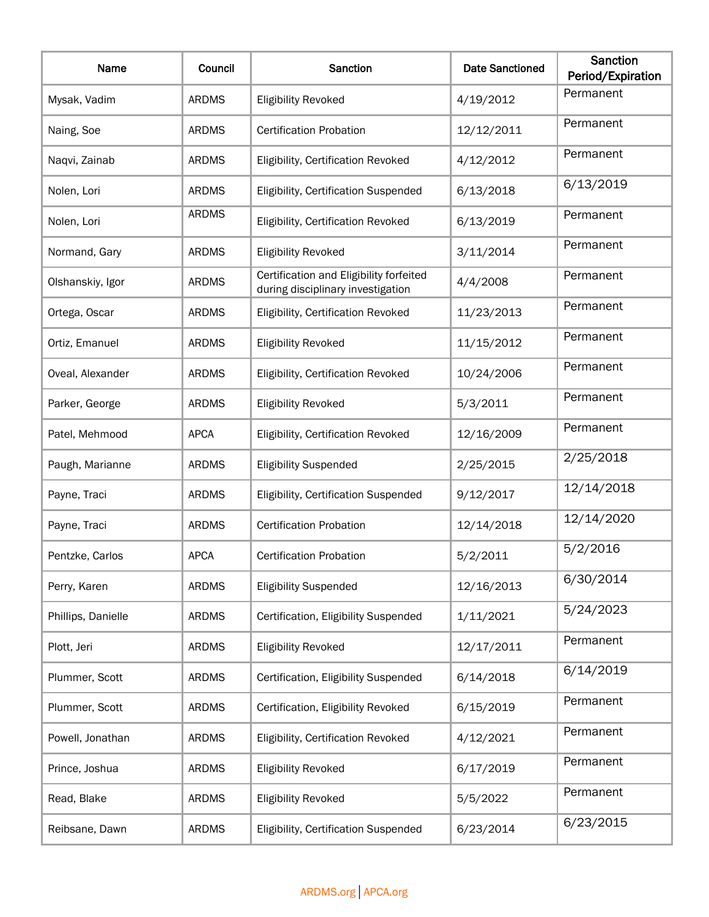| Name               | Council      | Sanction                                                                     | <b>Date Sanctioned</b> | <b>Sanction</b><br>Period/Expiration |
|--------------------|--------------|------------------------------------------------------------------------------|------------------------|--------------------------------------|
| Mysak, Vadim       | <b>ARDMS</b> | <b>Eligibility Revoked</b>                                                   | 4/19/2012              | Permanent                            |
| Naing, Soe         | <b>ARDMS</b> | <b>Certification Probation</b>                                               | 12/12/2011             | Permanent                            |
| Naqvi, Zainab      | <b>ARDMS</b> | Eligibility, Certification Revoked                                           | 4/12/2012              | Permanent                            |
| Nolen, Lori        | <b>ARDMS</b> | Eligibility, Certification Suspended                                         | 6/13/2018              | 6/13/2019                            |
| Nolen, Lori        | <b>ARDMS</b> | Eligibility, Certification Revoked                                           | 6/13/2019              | Permanent                            |
| Normand, Gary      | <b>ARDMS</b> | <b>Eligibility Revoked</b>                                                   | 3/11/2014              | Permanent                            |
| Olshanskiy, Igor   | <b>ARDMS</b> | Certification and Eligibility forfeited<br>during disciplinary investigation | 4/4/2008               | Permanent                            |
| Ortega, Oscar      | <b>ARDMS</b> | Eligibility, Certification Revoked                                           | 11/23/2013             | Permanent                            |
| Ortiz, Emanuel     | <b>ARDMS</b> | <b>Eligibility Revoked</b>                                                   | 11/15/2012             | Permanent                            |
| Oveal, Alexander   | <b>ARDMS</b> | Eligibility, Certification Revoked                                           | 10/24/2006             | Permanent                            |
| Parker, George     | <b>ARDMS</b> | <b>Eligibility Revoked</b>                                                   | 5/3/2011               | Permanent                            |
| Patel, Mehmood     | <b>APCA</b>  | Eligibility, Certification Revoked                                           | 12/16/2009             | Permanent                            |
| Paugh, Marianne    | <b>ARDMS</b> | <b>Eligibility Suspended</b>                                                 | 2/25/2015              | 2/25/2018                            |
| Payne, Traci       | <b>ARDMS</b> | Eligibility, Certification Suspended                                         | 9/12/2017              | 12/14/2018                           |
| Payne, Traci       | <b>ARDMS</b> | <b>Certification Probation</b>                                               | 12/14/2018             | 12/14/2020                           |
| Pentzke, Carlos    | <b>APCA</b>  | <b>Certification Probation</b>                                               | 5/2/2011               | 5/2/2016                             |
| Perry, Karen       | <b>ARDMS</b> | <b>Eligibility Suspended</b>                                                 | 12/16/2013             | 6/30/2014                            |
| Phillips, Danielle | <b>ARDMS</b> | Certification, Eligibility Suspended                                         | 1/11/2021              | 5/24/2023                            |
| Plott, Jeri        | <b>ARDMS</b> | <b>Eligibility Revoked</b>                                                   | 12/17/2011             | Permanent                            |
| Plummer, Scott     | <b>ARDMS</b> | Certification, Eligibility Suspended                                         | 6/14/2018              | 6/14/2019                            |
| Plummer, Scott     | <b>ARDMS</b> | Certification, Eligibility Revoked                                           | 6/15/2019              | Permanent                            |
| Powell, Jonathan   | <b>ARDMS</b> | Eligibility, Certification Revoked                                           | 4/12/2021              | Permanent                            |
| Prince, Joshua     | <b>ARDMS</b> | <b>Eligibility Revoked</b>                                                   | 6/17/2019              | Permanent                            |
| Read, Blake        | <b>ARDMS</b> | <b>Eligibility Revoked</b>                                                   | 5/5/2022               | Permanent                            |
| Reibsane, Dawn     | <b>ARDMS</b> | Eligibility, Certification Suspended                                         | 6/23/2014              | 6/23/2015                            |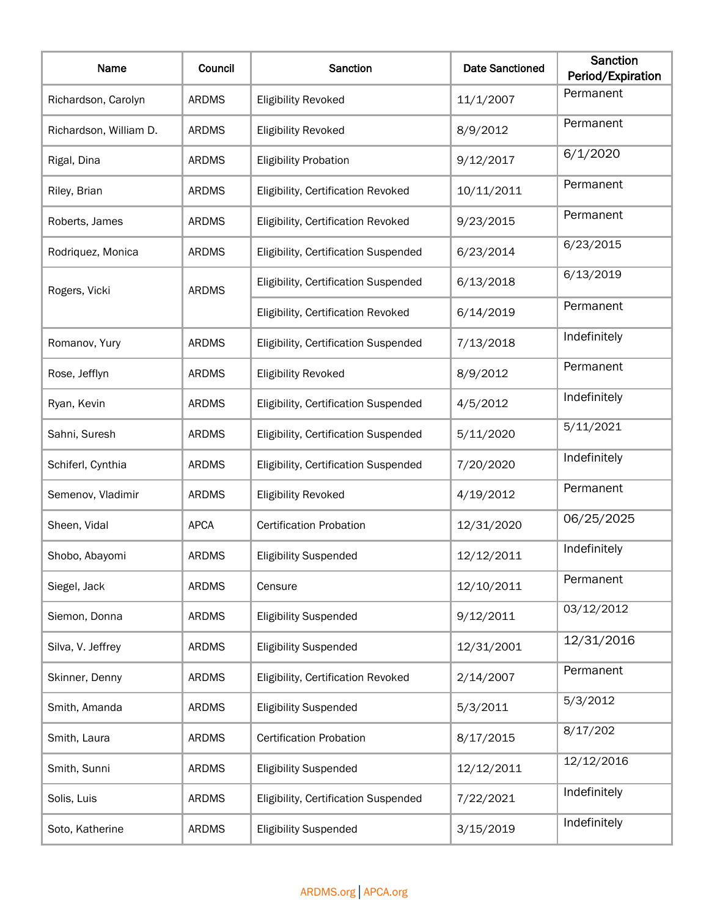| Name                   | Council      | Sanction                             | <b>Date Sanctioned</b> | <b>Sanction</b><br>Period/Expiration |
|------------------------|--------------|--------------------------------------|------------------------|--------------------------------------|
| Richardson, Carolyn    | <b>ARDMS</b> | <b>Eligibility Revoked</b>           | 11/1/2007              | Permanent                            |
| Richardson, William D. | <b>ARDMS</b> | <b>Eligibility Revoked</b>           | 8/9/2012               | Permanent                            |
| Rigal, Dina            | <b>ARDMS</b> | <b>Eligibility Probation</b>         | 9/12/2017              | 6/1/2020                             |
| Riley, Brian           | <b>ARDMS</b> | Eligibility, Certification Revoked   | 10/11/2011             | Permanent                            |
| Roberts, James         | <b>ARDMS</b> | Eligibility, Certification Revoked   | 9/23/2015              | Permanent                            |
| Rodriquez, Monica      | <b>ARDMS</b> | Eligibility, Certification Suspended | 6/23/2014              | 6/23/2015                            |
| Rogers, Vicki          | <b>ARDMS</b> | Eligibility, Certification Suspended | 6/13/2018              | 6/13/2019                            |
|                        |              | Eligibility, Certification Revoked   | 6/14/2019              | Permanent                            |
| Romanov, Yury          | <b>ARDMS</b> | Eligibility, Certification Suspended | 7/13/2018              | Indefinitely                         |
| Rose, Jefflyn          | <b>ARDMS</b> | <b>Eligibility Revoked</b>           | 8/9/2012               | Permanent                            |
| Ryan, Kevin            | <b>ARDMS</b> | Eligibility, Certification Suspended | 4/5/2012               | Indefinitely                         |
| Sahni, Suresh          | <b>ARDMS</b> | Eligibility, Certification Suspended | 5/11/2020              | 5/11/2021                            |
| Schiferl, Cynthia      | <b>ARDMS</b> | Eligibility, Certification Suspended | 7/20/2020              | Indefinitely                         |
| Semenov, Vladimir      | <b>ARDMS</b> | <b>Eligibility Revoked</b>           | 4/19/2012              | Permanent                            |
| Sheen, Vidal           | <b>APCA</b>  | <b>Certification Probation</b>       | 12/31/2020             | 06/25/2025                           |
| Shobo, Abayomi         | <b>ARDMS</b> | <b>Eligibility Suspended</b>         | 12/12/2011             | Indefinitely                         |
| Siegel, Jack           | <b>ARDMS</b> | Censure                              | 12/10/2011             | Permanent                            |
| Siemon, Donna          | <b>ARDMS</b> | <b>Eligibility Suspended</b>         | 9/12/2011              | 03/12/2012                           |
| Silva, V. Jeffrey      | <b>ARDMS</b> | <b>Eligibility Suspended</b>         | 12/31/2001             | 12/31/2016                           |
| Skinner, Denny         | <b>ARDMS</b> | Eligibility, Certification Revoked   | 2/14/2007              | Permanent                            |
| Smith, Amanda          | <b>ARDMS</b> | <b>Eligibility Suspended</b>         | 5/3/2011               | 5/3/2012                             |
| Smith, Laura           | <b>ARDMS</b> | <b>Certification Probation</b>       | 8/17/2015              | 8/17/202                             |
| Smith, Sunni           | <b>ARDMS</b> | <b>Eligibility Suspended</b>         | 12/12/2011             | 12/12/2016                           |
| Solis, Luis            | <b>ARDMS</b> | Eligibility, Certification Suspended | 7/22/2021              | Indefinitely                         |
| Soto, Katherine        | <b>ARDMS</b> | <b>Eligibility Suspended</b>         | 3/15/2019              | Indefinitely                         |